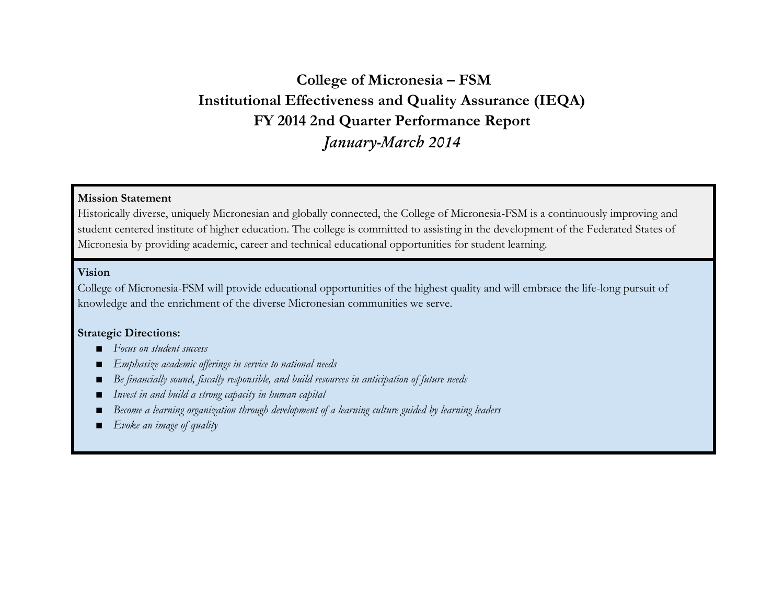# **College of Micronesia – FSM Institutional Effectiveness and Quality Assurance (IEQA) FY 2014 2nd Quarter Performance Report** *January-March 2014*

## **Mission Statement**

Historically diverse, uniquely Micronesian and globally connected, the College of Micronesia-FSM is a continuously improving and student centered institute of higher education. The college is committed to assisting in the development of the Federated States of Micronesia by providing academic, career and technical educational opportunities for student learning.

## **Vision**

College of Micronesia-FSM will provide educational opportunities of the highest quality and will embrace the life-long pursuit of knowledge and the enrichment of the diverse Micronesian communities we serve.

#### **Strategic Directions:**

- *Focus on student success*
- Emphasize academic offerings in service to national needs
- *Be financially sound, fiscally responsible, and build resources in anticipation of future needs*
- *Invest in and build a strong capacity in human capital*
- *Become a learning organization through development of a learning culture guided by learning leaders*
- *Evoke an image of quality*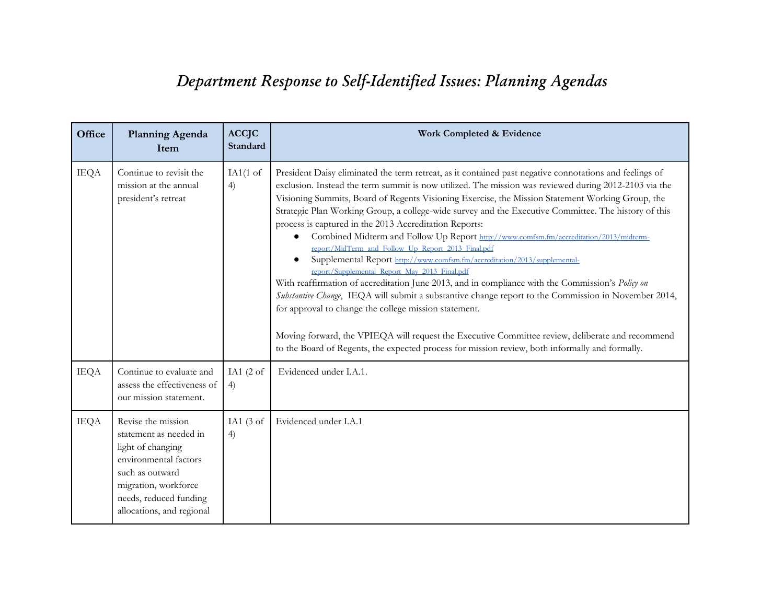# *Department Response to Self-Identified Issues: Planning Agendas*

| Office      | <b>Planning Agenda</b><br>Item                                                                                                                                                               | <b>ACCJC</b><br>Standard   | Work Completed & Evidence                                                                                                                                                                                                                                                                                                                                                                                                                                                                                                                                                                                                                                                                                                                                                                                                                                                                                                                                                                                                                                                                                                                                                                                                                        |
|-------------|----------------------------------------------------------------------------------------------------------------------------------------------------------------------------------------------|----------------------------|--------------------------------------------------------------------------------------------------------------------------------------------------------------------------------------------------------------------------------------------------------------------------------------------------------------------------------------------------------------------------------------------------------------------------------------------------------------------------------------------------------------------------------------------------------------------------------------------------------------------------------------------------------------------------------------------------------------------------------------------------------------------------------------------------------------------------------------------------------------------------------------------------------------------------------------------------------------------------------------------------------------------------------------------------------------------------------------------------------------------------------------------------------------------------------------------------------------------------------------------------|
| <b>IEQA</b> | Continue to revisit the<br>mission at the annual<br>president's retreat                                                                                                                      | IA $1(1 \text{ of }$<br>4) | President Daisy eliminated the term retreat, as it contained past negative connotations and feelings of<br>exclusion. Instead the term summit is now utilized. The mission was reviewed during 2012-2103 via the<br>Visioning Summits, Board of Regents Visioning Exercise, the Mission Statement Working Group, the<br>Strategic Plan Working Group, a college-wide survey and the Executive Committee. The history of this<br>process is captured in the 2013 Accreditation Reports:<br>Combined Midterm and Follow Up Report http://www.comfsm.fm/accreditation/2013/midterm-<br>report/MidTerm_and_Follow_Up_Report_2013_Final.pdf<br>Supplemental Report http://www.comfsm.fm/accreditation/2013/supplemental-<br>report/Supplemental_Report_May_2013_Final.pdf<br>With reaffirmation of accreditation June 2013, and in compliance with the Commission's Policy on<br>Substantive Change, IEQA will submit a substantive change report to the Commission in November 2014,<br>for approval to change the college mission statement.<br>Moving forward, the VPIEQA will request the Executive Committee review, deliberate and recommend<br>to the Board of Regents, the expected process for mission review, both informally and formally. |
| <b>IEQA</b> | Continue to evaluate and<br>assess the effectiveness of<br>our mission statement.                                                                                                            | IA1 $(2 \text{ of }$<br>4) | Evidenced under I.A.1.                                                                                                                                                                                                                                                                                                                                                                                                                                                                                                                                                                                                                                                                                                                                                                                                                                                                                                                                                                                                                                                                                                                                                                                                                           |
| <b>IEQA</b> | Revise the mission<br>statement as needed in<br>light of changing<br>environmental factors<br>such as outward<br>migration, workforce<br>needs, reduced funding<br>allocations, and regional | IA1 $(3$ of<br>4)          | Evidenced under I.A.1                                                                                                                                                                                                                                                                                                                                                                                                                                                                                                                                                                                                                                                                                                                                                                                                                                                                                                                                                                                                                                                                                                                                                                                                                            |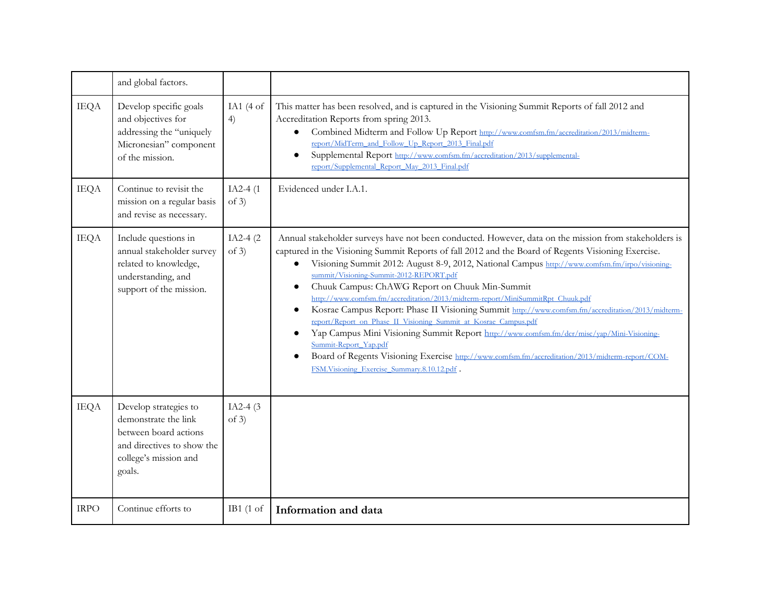|             | and global factors.                                                                                                                     |                       |                                                                                                                                                                                                                                                                                                                                                                                                                                                                                                                                                                                                                                                                                                                                                                                                                                                                                                                                                                                    |
|-------------|-----------------------------------------------------------------------------------------------------------------------------------------|-----------------------|------------------------------------------------------------------------------------------------------------------------------------------------------------------------------------------------------------------------------------------------------------------------------------------------------------------------------------------------------------------------------------------------------------------------------------------------------------------------------------------------------------------------------------------------------------------------------------------------------------------------------------------------------------------------------------------------------------------------------------------------------------------------------------------------------------------------------------------------------------------------------------------------------------------------------------------------------------------------------------|
| <b>IEQA</b> | Develop specific goals<br>and objectives for<br>addressing the "uniquely<br>Micronesian" component<br>of the mission.                   | IA1 $(4$ of<br>4)     | This matter has been resolved, and is captured in the Visioning Summit Reports of fall 2012 and<br>Accreditation Reports from spring 2013.<br>Combined Midterm and Follow Up Report http://www.comfsm.fm/accreditation/2013/midterm-<br>$\bullet$<br>report/MidTerm_and_Follow_Up_Report_2013_Final.pdf<br>Supplemental Report http://www.comfsm.fm/accreditation/2013/supplemental-<br>report/Supplemental_Report_May_2013_Final.pdf                                                                                                                                                                                                                                                                                                                                                                                                                                                                                                                                              |
| <b>IEQA</b> | Continue to revisit the<br>mission on a regular basis<br>and revise as necessary.                                                       | $IA2-4(1)$<br>of $3)$ | Evidenced under I.A.1.                                                                                                                                                                                                                                                                                                                                                                                                                                                                                                                                                                                                                                                                                                                                                                                                                                                                                                                                                             |
| <b>IEQA</b> | Include questions in<br>annual stakeholder survey<br>related to knowledge,<br>understanding, and<br>support of the mission.             | $IA2-4(2)$<br>of $3)$ | Annual stakeholder surveys have not been conducted. However, data on the mission from stakeholders is<br>captured in the Visioning Summit Reports of fall 2012 and the Board of Regents Visioning Exercise.<br>Visioning Summit 2012: August 8-9, 2012, National Campus http://www.comfsm.fm/irpo/visioning-<br>summit/Visioning-Summit-2012-REPORT.pdf<br>Chuuk Campus: ChAWG Report on Chuuk Min-Summit<br>$\bullet$<br>http://www.comfsm.fm/accreditation/2013/midterm-report/MiniSummitRpt_Chuuk.pdf<br>Kosrae Campus Report: Phase II Visioning Summit http://www.comfsm.fm/accreditation/2013/midterm-<br>$\bullet$<br>report/Report on Phase II Visioning Summit at Kosrae Campus.pdf<br>Yap Campus Mini Visioning Summit Report http://www.comfsm.fm/dcr/misc/yap/Mini-Visioning-<br>$\bullet$<br>Summit-Report_Yap.pdf<br>Board of Regents Visioning Exercise http://www.comfsm.fm/accreditation/2013/midterm-report/COM-<br>FSM.Visioning_Exercise_Summary.8.10.12.pdf . |
| <b>IEQA</b> | Develop strategies to<br>demonstrate the link<br>between board actions<br>and directives to show the<br>college's mission and<br>goals. | IA2-4 $(3)$<br>of 3)  |                                                                                                                                                                                                                                                                                                                                                                                                                                                                                                                                                                                                                                                                                                                                                                                                                                                                                                                                                                                    |
| <b>IRPO</b> | Continue efforts to                                                                                                                     | IB1 $(1 \text{ of }$  | Information and data                                                                                                                                                                                                                                                                                                                                                                                                                                                                                                                                                                                                                                                                                                                                                                                                                                                                                                                                                               |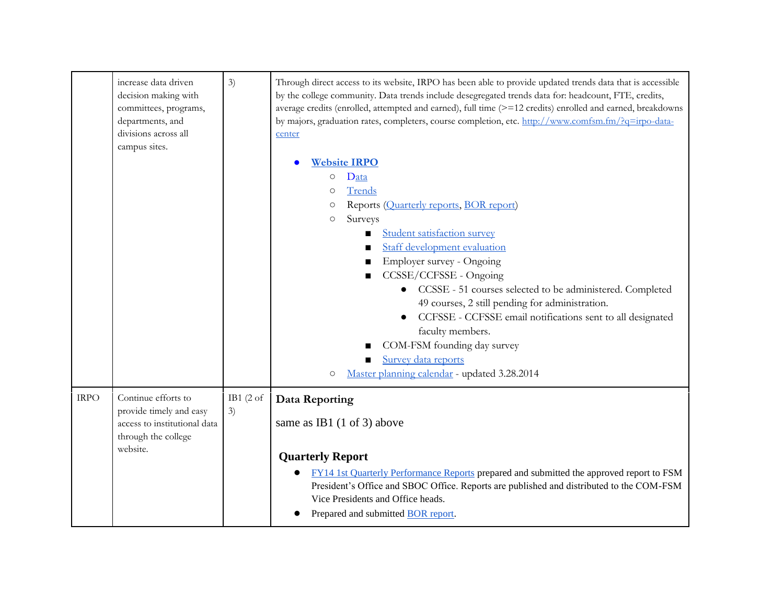|             | increase data driven<br>decision making with<br>committees, programs,<br>departments, and<br>divisions across all<br>campus sites. | 3)                         | Through direct access to its website, IRPO has been able to provide updated trends data that is accessible<br>by the college community. Data trends include desegregated trends data for: headcount, FTE, credits,<br>average credits (enrolled, attempted and earned), full time (>=12 credits) enrolled and earned, breakdowns<br>by majors, graduation rates, completers, course completion, etc. http://www.comfsm.fm/?q=irpo-data-<br>center<br><b>Website IRPO</b><br>Data<br>$\bigcirc$<br>Trends<br>$\circ$<br>Reports (Quarterly reports, BOR report)<br>О<br>Surveys<br>$\circlearrowright$<br>Student satisfaction survey<br>Staff development evaluation<br>Employer survey - Ongoing<br>CCSSE/CCFSSE - Ongoing<br>• CCSSE - 51 courses selected to be administered. Completed<br>49 courses, 2 still pending for administration.<br>CCFSSE - CCFSSE email notifications sent to all designated<br>faculty members.<br>COM-FSM founding day survey<br>Survey data reports<br>Master planning calendar - updated 3.28.2014<br>$\circ$ |
|-------------|------------------------------------------------------------------------------------------------------------------------------------|----------------------------|--------------------------------------------------------------------------------------------------------------------------------------------------------------------------------------------------------------------------------------------------------------------------------------------------------------------------------------------------------------------------------------------------------------------------------------------------------------------------------------------------------------------------------------------------------------------------------------------------------------------------------------------------------------------------------------------------------------------------------------------------------------------------------------------------------------------------------------------------------------------------------------------------------------------------------------------------------------------------------------------------------------------------------------------------|
| <b>IRPO</b> | Continue efforts to<br>provide timely and easy<br>access to institutional data<br>through the college<br>website.                  | IB1 $(2 \text{ of }$<br>3) | Data Reporting<br>same as IB1 $(1 \text{ of } 3)$ above<br><b>Quarterly Report</b><br>FY14 1st Quarterly Performance Reports prepared and submitted the approved report to FSM<br>President's Office and SBOC Office. Reports are published and distributed to the COM-FSM<br>Vice Presidents and Office heads.<br>Prepared and submitted <b>BOR</b> report.                                                                                                                                                                                                                                                                                                                                                                                                                                                                                                                                                                                                                                                                                     |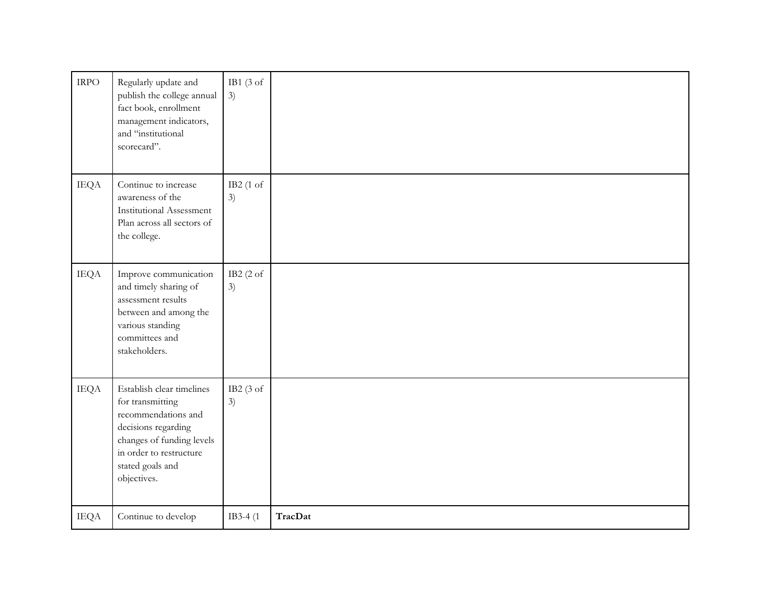| $\ensuremath{\mathsf{IRPO}}$ | Regularly update and<br>publish the college annual<br>fact book, enrollment<br>management indicators,<br>and "institutional<br>scorecard".                                             | IB1 $(3 \text{ of }$<br>3) |         |
|------------------------------|----------------------------------------------------------------------------------------------------------------------------------------------------------------------------------------|----------------------------|---------|
| <b>IEQA</b>                  | Continue to increase<br>awareness of the<br><b>Institutional Assessment</b><br>Plan across all sectors of<br>the college.                                                              | IB2 (1 of<br>3)            |         |
| <b>IEQA</b>                  | Improve communication<br>and timely sharing of<br>assessment results<br>between and among the<br>various standing<br>committees and<br>stakeholders.                                   | IB2 $(2 \text{ of }$<br>3) |         |
| <b>IEQA</b>                  | Establish clear timelines<br>for transmitting<br>recommendations and<br>decisions regarding<br>changes of funding levels<br>in order to restructure<br>stated goals and<br>objectives. | IB2 (3 of<br>3)            |         |
| <b>IEQA</b>                  | Continue to develop                                                                                                                                                                    | IB3-4 (1)                  | TracDat |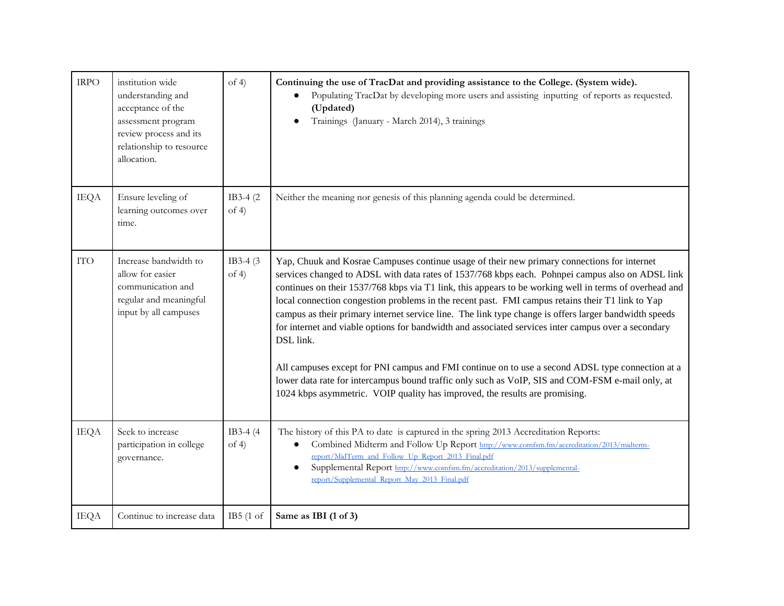| <b>IRPO</b> | institution wide<br>understanding and<br>acceptance of the<br>assessment program<br>review process and its<br>relationship to resource<br>allocation. | of 4)              | Continuing the use of TracDat and providing assistance to the College. (System wide).<br>Populating TracDat by developing more users and assisting inputting of reports as requested.<br>(Updated)<br>Trainings (January - March 2014), 3 trainings<br>$\bullet$                                                                                                                                                                                                                                                                                                                                                                                                                                                                                                                                                                                                                                                                  |
|-------------|-------------------------------------------------------------------------------------------------------------------------------------------------------|--------------------|-----------------------------------------------------------------------------------------------------------------------------------------------------------------------------------------------------------------------------------------------------------------------------------------------------------------------------------------------------------------------------------------------------------------------------------------------------------------------------------------------------------------------------------------------------------------------------------------------------------------------------------------------------------------------------------------------------------------------------------------------------------------------------------------------------------------------------------------------------------------------------------------------------------------------------------|
| <b>IEQA</b> | Ensure leveling of<br>learning outcomes over<br>time.                                                                                                 | IB3-4 (2)<br>of 4) | Neither the meaning nor genesis of this planning agenda could be determined.                                                                                                                                                                                                                                                                                                                                                                                                                                                                                                                                                                                                                                                                                                                                                                                                                                                      |
| <b>ITO</b>  | Increase bandwidth to<br>allow for easier<br>communication and<br>regular and meaningful<br>input by all campuses                                     | IB3-4 (3)<br>of 4) | Yap, Chuuk and Kosrae Campuses continue usage of their new primary connections for internet<br>services changed to ADSL with data rates of 1537/768 kbps each. Pohnpei campus also on ADSL link<br>continues on their 1537/768 kbps via T1 link, this appears to be working well in terms of overhead and<br>local connection congestion problems in the recent past. FMI campus retains their T1 link to Yap<br>campus as their primary internet service line. The link type change is offers larger bandwidth speeds<br>for internet and viable options for bandwidth and associated services inter campus over a secondary<br>DSL link.<br>All campuses except for PNI campus and FMI continue on to use a second ADSL type connection at a<br>lower data rate for intercampus bound traffic only such as VoIP, SIS and COM-FSM e-mail only, at<br>1024 kbps asymmetric. VOIP quality has improved, the results are promising. |
| <b>IEQA</b> | Seek to increase<br>participation in college<br>governance.                                                                                           | IB3-4 (4)<br>of 4) | The history of this PA to date is captured in the spring 2013 Accreditation Reports:<br>Combined Midterm and Follow Up Report http://www.comfsm.fm/accreditation/2013/midterm-<br>report/MidTerm_and_Follow_Up_Report_2013_Final.pdf<br>Supplemental Report http://www.comfsm.fm/accreditation/2013/supplemental-<br>report/Supplemental_Report_May_2013_Final.pdf                                                                                                                                                                                                                                                                                                                                                                                                                                                                                                                                                                |
| <b>IEQA</b> | Continue to increase data                                                                                                                             | IB5(1 of           | Same as IBI (1 of 3)                                                                                                                                                                                                                                                                                                                                                                                                                                                                                                                                                                                                                                                                                                                                                                                                                                                                                                              |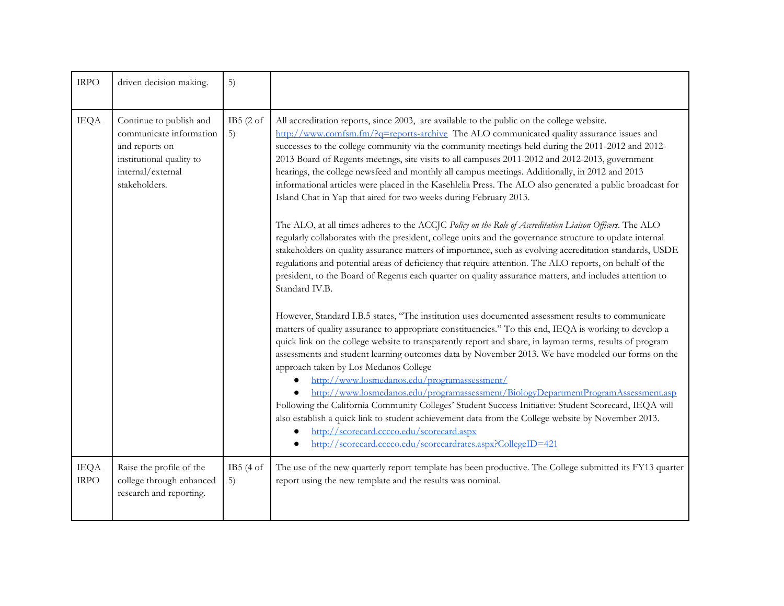| <b>IRPO</b>                | driven decision making.                                                                                                                | 5)                         |                                                                                                                                                                                                                                                                                                                                                                                                                                                                                                                                                                                                                                                                                                                                                                                                                                                                                                                                                                                                                                                                                                                                                                                                                                                                                                                                                                                                                                                                                                                                                                                                                                                                                                                                                                                                                                                                                                                                                                                                                                                                                                                                            |
|----------------------------|----------------------------------------------------------------------------------------------------------------------------------------|----------------------------|--------------------------------------------------------------------------------------------------------------------------------------------------------------------------------------------------------------------------------------------------------------------------------------------------------------------------------------------------------------------------------------------------------------------------------------------------------------------------------------------------------------------------------------------------------------------------------------------------------------------------------------------------------------------------------------------------------------------------------------------------------------------------------------------------------------------------------------------------------------------------------------------------------------------------------------------------------------------------------------------------------------------------------------------------------------------------------------------------------------------------------------------------------------------------------------------------------------------------------------------------------------------------------------------------------------------------------------------------------------------------------------------------------------------------------------------------------------------------------------------------------------------------------------------------------------------------------------------------------------------------------------------------------------------------------------------------------------------------------------------------------------------------------------------------------------------------------------------------------------------------------------------------------------------------------------------------------------------------------------------------------------------------------------------------------------------------------------------------------------------------------------------|
| <b>IEQA</b>                | Continue to publish and<br>communicate information<br>and reports on<br>institutional quality to<br>internal/external<br>stakeholders. | IB5 $(2of)$<br>5)          | All accreditation reports, since 2003, are available to the public on the college website.<br>http://www.comfsm.fm/?q=reports-archive The ALO communicated quality assurance issues and<br>successes to the college community via the community meetings held during the 2011-2012 and 2012-<br>2013 Board of Regents meetings, site visits to all campuses 2011-2012 and 2012-2013, government<br>hearings, the college newsfeed and monthly all campus meetings. Additionally, in 2012 and 2013<br>informational articles were placed in the Kasehlelia Press. The ALO also generated a public broadcast for<br>Island Chat in Yap that aired for two weeks during February 2013.<br>The ALO, at all times adheres to the ACCJC Policy on the Role of Accreditation Liaison Officers. The ALO<br>regularly collaborates with the president, college units and the governance structure to update internal<br>stakeholders on quality assurance matters of importance, such as evolving accreditation standards, USDE<br>regulations and potential areas of deficiency that require attention. The ALO reports, on behalf of the<br>president, to the Board of Regents each quarter on quality assurance matters, and includes attention to<br>Standard IV.B.<br>However, Standard I.B.5 states, "The institution uses documented assessment results to communicate<br>matters of quality assurance to appropriate constituencies." To this end, IEQA is working to develop a<br>quick link on the college website to transparently report and share, in layman terms, results of program<br>assessments and student learning outcomes data by November 2013. We have modeled our forms on the<br>approach taken by Los Medanos College<br>http://www.losmedanos.edu/programassessment/<br>http://www.losmedanos.edu/programassessment/BiologyDepartmentProgramAssessment.asp<br>Following the California Community Colleges' Student Success Initiative: Student Scorecard, IEQA will<br>also establish a quick link to student achievement data from the College website by November 2013.<br>http://scorecard.cccco.edu/scorecard.aspx |
|                            |                                                                                                                                        |                            | http://scorecard.cccco.edu/scorecardrates.aspx?CollegeID=421                                                                                                                                                                                                                                                                                                                                                                                                                                                                                                                                                                                                                                                                                                                                                                                                                                                                                                                                                                                                                                                                                                                                                                                                                                                                                                                                                                                                                                                                                                                                                                                                                                                                                                                                                                                                                                                                                                                                                                                                                                                                               |
| <b>IEQA</b><br><b>IRPO</b> | Raise the profile of the<br>college through enhanced<br>research and reporting.                                                        | IB5 $(4 \text{ of }$<br>5) | The use of the new quarterly report template has been productive. The College submitted its FY13 quarter<br>report using the new template and the results was nominal.                                                                                                                                                                                                                                                                                                                                                                                                                                                                                                                                                                                                                                                                                                                                                                                                                                                                                                                                                                                                                                                                                                                                                                                                                                                                                                                                                                                                                                                                                                                                                                                                                                                                                                                                                                                                                                                                                                                                                                     |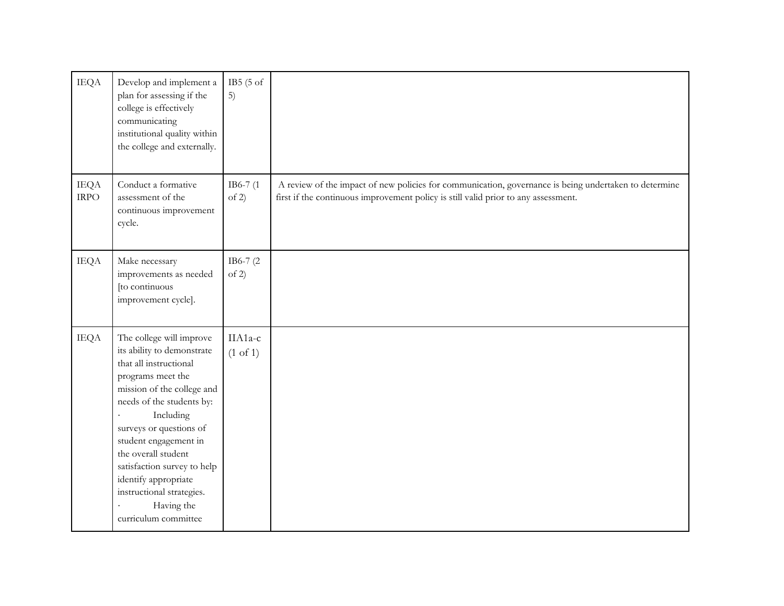| <b>IEQA</b>                | Develop and implement a<br>plan for assessing if the<br>college is effectively<br>communicating<br>institutional quality within<br>the college and externally.                                                                                                                                                                                                                           | IB5 $(5 \text{ of }$<br>5)     |                                                                                                                                                                                             |
|----------------------------|------------------------------------------------------------------------------------------------------------------------------------------------------------------------------------------------------------------------------------------------------------------------------------------------------------------------------------------------------------------------------------------|--------------------------------|---------------------------------------------------------------------------------------------------------------------------------------------------------------------------------------------|
| <b>IEQA</b><br><b>IRPO</b> | Conduct a formative<br>assessment of the<br>continuous improvement<br>cycle.                                                                                                                                                                                                                                                                                                             | IB6-7 (1<br>of 2)              | A review of the impact of new policies for communication, governance is being undertaken to determine<br>first if the continuous improvement policy is still valid prior to any assessment. |
| <b>IEQA</b>                | Make necessary<br>improvements as needed<br>[to continuous<br>improvement cycle].                                                                                                                                                                                                                                                                                                        | IB6-7 (2)<br>of 2)             |                                                                                                                                                                                             |
| <b>IEQA</b>                | The college will improve<br>its ability to demonstrate<br>that all instructional<br>programs meet the<br>mission of the college and<br>needs of the students by:<br>Including<br>×.<br>surveys or questions of<br>student engagement in<br>the overall student<br>satisfaction survey to help<br>identify appropriate<br>instructional strategies.<br>Having the<br>curriculum committee | IIA1a-c<br>$(1 \text{ of } 1)$ |                                                                                                                                                                                             |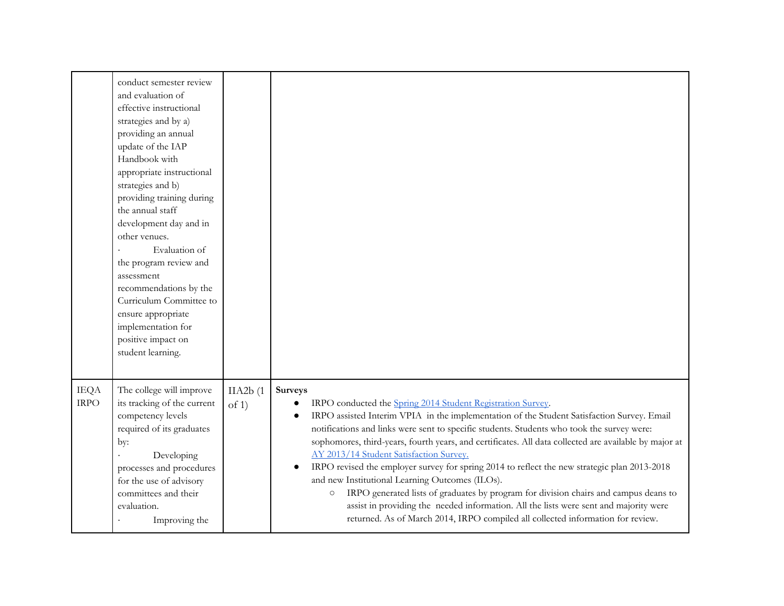|                            | conduct semester review<br>and evaluation of<br>effective instructional<br>strategies and by a)<br>providing an annual<br>update of the IAP<br>Handbook with<br>appropriate instructional<br>strategies and b)<br>providing training during                      |                   |                                                                                                                                                                                                                                                                                                                                                                                                                                                                                                                                                                                                                                                                                                                                                                                                                                                                       |
|----------------------------|------------------------------------------------------------------------------------------------------------------------------------------------------------------------------------------------------------------------------------------------------------------|-------------------|-----------------------------------------------------------------------------------------------------------------------------------------------------------------------------------------------------------------------------------------------------------------------------------------------------------------------------------------------------------------------------------------------------------------------------------------------------------------------------------------------------------------------------------------------------------------------------------------------------------------------------------------------------------------------------------------------------------------------------------------------------------------------------------------------------------------------------------------------------------------------|
|                            | the annual staff<br>development day and in<br>other venues.<br>Evaluation of<br>the program review and<br>assessment<br>recommendations by the<br>Curriculum Committee to<br>ensure appropriate<br>implementation for<br>positive impact on<br>student learning. |                   |                                                                                                                                                                                                                                                                                                                                                                                                                                                                                                                                                                                                                                                                                                                                                                                                                                                                       |
| <b>IEQA</b><br><b>IRPO</b> | The college will improve<br>its tracking of the current<br>competency levels<br>required of its graduates<br>by:<br>Developing<br>processes and procedures<br>for the use of advisory<br>committees and their<br>evaluation.<br>Improving the                    | IIA2b(1)<br>of 1) | Surveys<br>IRPO conducted the Spring 2014 Student Registration Survey.<br>$\bullet$<br>IRPO assisted Interim VPIA in the implementation of the Student Satisfaction Survey. Email<br>notifications and links were sent to specific students. Students who took the survey were:<br>sophomores, third-years, fourth years, and certificates. All data collected are available by major at<br>AY 2013/14 Student Satisfaction Survey.<br>IRPO revised the employer survey for spring 2014 to reflect the new strategic plan 2013-2018<br>and new Institutional Learning Outcomes (ILOs).<br>IRPO generated lists of graduates by program for division chairs and campus deans to<br>$\circ$<br>assist in providing the needed information. All the lists were sent and majority were<br>returned. As of March 2014, IRPO compiled all collected information for review. |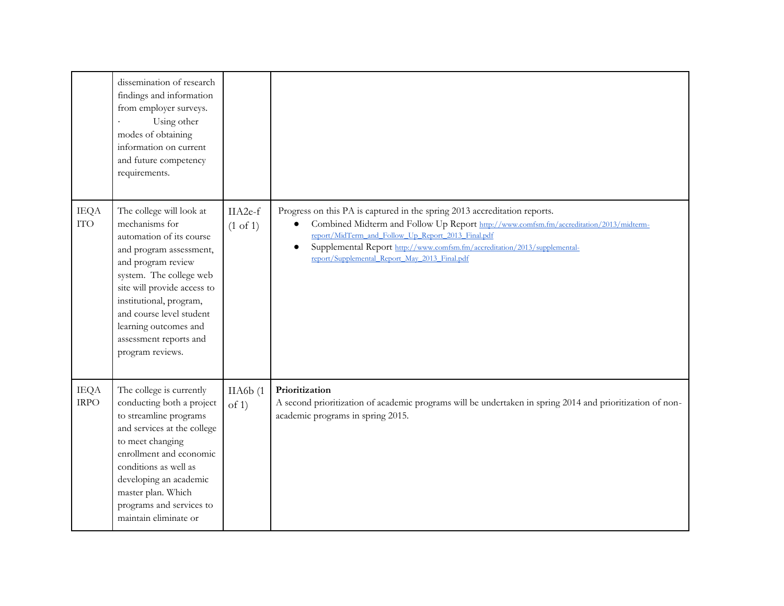|                            | dissemination of research<br>findings and information<br>from employer surveys.<br>Using other<br>modes of obtaining<br>information on current<br>and future competency<br>requirements.                                                                                                                        |                                |                                                                                                                                                                                                                                                                                                                                                                                   |
|----------------------------|-----------------------------------------------------------------------------------------------------------------------------------------------------------------------------------------------------------------------------------------------------------------------------------------------------------------|--------------------------------|-----------------------------------------------------------------------------------------------------------------------------------------------------------------------------------------------------------------------------------------------------------------------------------------------------------------------------------------------------------------------------------|
| <b>IEQA</b><br><b>ITO</b>  | The college will look at<br>mechanisms for<br>automation of its course<br>and program assessment,<br>and program review<br>system. The college web<br>site will provide access to<br>institutional, program,<br>and course level student<br>learning outcomes and<br>assessment reports and<br>program reviews. | IIA2e-f<br>$(1 \text{ of } 1)$ | Progress on this PA is captured in the spring 2013 accreditation reports.<br>Combined Midterm and Follow Up Report http://www.comfsm.fm/accreditation/2013/midterm-<br>$\bullet$<br>report/MidTerm_and_Follow_Up_Report_2013_Final.pdf<br>Supplemental Report http://www.comfsm.fm/accreditation/2013/supplemental-<br>$\bullet$<br>report/Supplemental_Report_May_2013_Final.pdf |
| <b>IEQA</b><br><b>IRPO</b> | The college is currently<br>conducting both a project<br>to streamline programs<br>and services at the college<br>to meet changing<br>enrollment and economic<br>conditions as well as<br>developing an academic<br>master plan. Which<br>programs and services to<br>maintain eliminate or                     | IIA6b(1)<br>of 1)              | Prioritization<br>A second prioritization of academic programs will be undertaken in spring 2014 and prioritization of non-<br>academic programs in spring 2015.                                                                                                                                                                                                                  |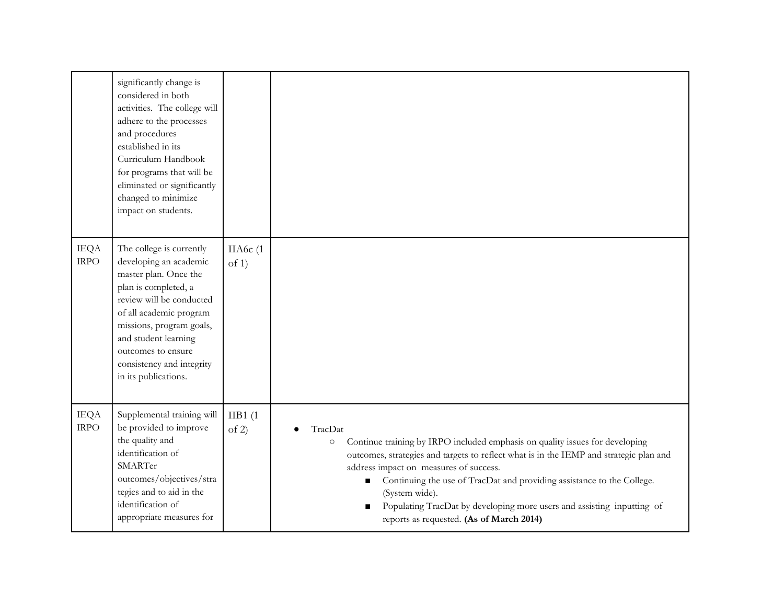|                            | significantly change is<br>considered in both<br>activities. The college will<br>adhere to the processes<br>and procedures<br>established in its<br>Curriculum Handbook<br>for programs that will be<br>eliminated or significantly<br>changed to minimize<br>impact on students.         |                   |                                                                                                                                                                                                                                                                                                                                                                                                                                                    |
|----------------------------|-------------------------------------------------------------------------------------------------------------------------------------------------------------------------------------------------------------------------------------------------------------------------------------------|-------------------|----------------------------------------------------------------------------------------------------------------------------------------------------------------------------------------------------------------------------------------------------------------------------------------------------------------------------------------------------------------------------------------------------------------------------------------------------|
| <b>IEQA</b><br><b>IRPO</b> | The college is currently<br>developing an academic<br>master plan. Once the<br>plan is completed, a<br>review will be conducted<br>of all academic program<br>missions, program goals,<br>and student learning<br>outcomes to ensure<br>consistency and integrity<br>in its publications. | IIA6c (1<br>of 1) |                                                                                                                                                                                                                                                                                                                                                                                                                                                    |
| <b>IEQA</b><br>$\rm IRPO$  | Supplemental training will<br>be provided to improve<br>the quality and<br>identification of<br>SMARTer<br>outcomes/objectives/stra<br>tegies and to aid in the<br>identification of<br>appropriate measures for                                                                          | IIB1(1)<br>of 2)  | TracDat<br>Continue training by IRPO included emphasis on quality issues for developing<br>O<br>outcomes, strategies and targets to reflect what is in the IEMP and strategic plan and<br>address impact on measures of success.<br>Continuing the use of TracDat and providing assistance to the College.<br>(System wide).<br>Populating TracDat by developing more users and assisting inputting of<br>reports as requested. (As of March 2014) |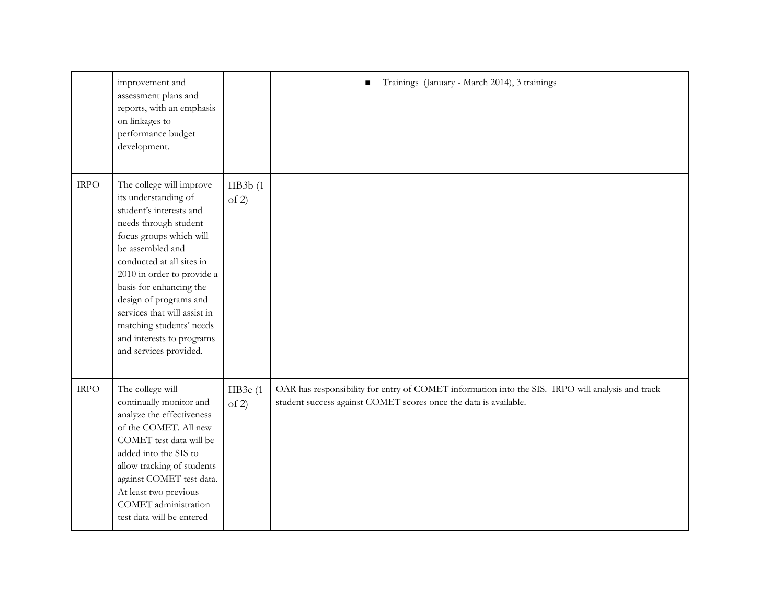|             | improvement and<br>assessment plans and<br>reports, with an emphasis<br>on linkages to<br>performance budget<br>development.                                                                                                                                                                                                                                                           |                      | Trainings (January - March 2014), 3 trainings                                                                                                                        |
|-------------|----------------------------------------------------------------------------------------------------------------------------------------------------------------------------------------------------------------------------------------------------------------------------------------------------------------------------------------------------------------------------------------|----------------------|----------------------------------------------------------------------------------------------------------------------------------------------------------------------|
| <b>IRPO</b> | The college will improve<br>its understanding of<br>student's interests and<br>needs through student<br>focus groups which will<br>be assembled and<br>conducted at all sites in<br>2010 in order to provide a<br>basis for enhancing the<br>design of programs and<br>services that will assist in<br>matching students' needs<br>and interests to programs<br>and services provided. | IIB3b(1)<br>of 2)    |                                                                                                                                                                      |
| <b>IRPO</b> | The college will<br>continually monitor and<br>analyze the effectiveness<br>of the COMET. All new<br>COMET test data will be<br>added into the SIS to<br>allow tracking of students<br>against COMET test data.<br>At least two previous<br>COMET administration<br>test data will be entered                                                                                          | IIB3e $(1)$<br>of 2) | OAR has responsibility for entry of COMET information into the SIS. IRPO will analysis and track<br>student success against COMET scores once the data is available. |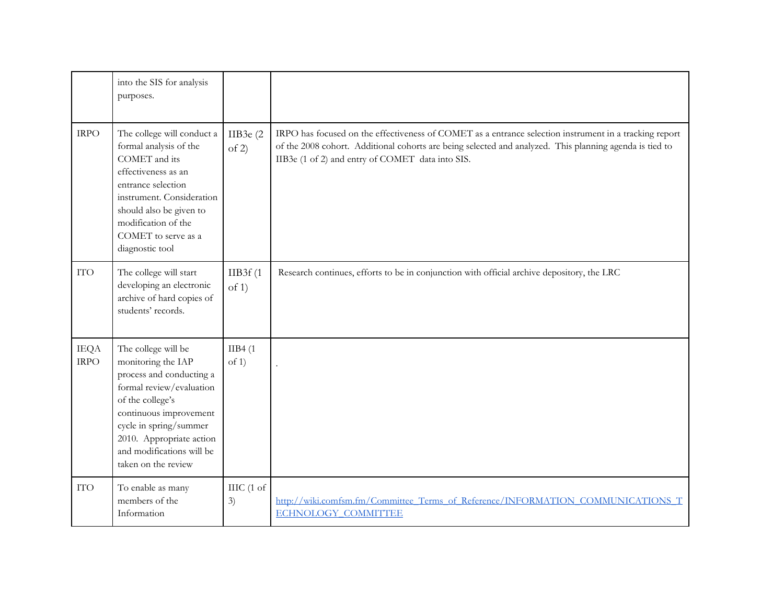|                            | into the SIS for analysis<br>purposes.                                                                                                                                                                                                                    |                            |                                                                                                                                                                                                                                                                       |
|----------------------------|-----------------------------------------------------------------------------------------------------------------------------------------------------------------------------------------------------------------------------------------------------------|----------------------------|-----------------------------------------------------------------------------------------------------------------------------------------------------------------------------------------------------------------------------------------------------------------------|
| <b>IRPO</b>                | The college will conduct a<br>formal analysis of the<br>COMET and its<br>effectiveness as an<br>entrance selection<br>instrument. Consideration<br>should also be given to<br>modification of the<br>COMET to serve as a<br>diagnostic tool               | IIB3e $(2)$<br>of 2)       | IRPO has focused on the effectiveness of COMET as a entrance selection instrument in a tracking report<br>of the 2008 cohort. Additional cohorts are being selected and analyzed. This planning agenda is tied to<br>IIB3e (1 of 2) and entry of COMET data into SIS. |
| <b>ITO</b>                 | The college will start<br>developing an electronic<br>archive of hard copies of<br>students' records.                                                                                                                                                     | IIB3f(1)<br>of 1)          | Research continues, efforts to be in conjunction with official archive depository, the LRC                                                                                                                                                                            |
| <b>IEQA</b><br><b>IRPO</b> | The college will be<br>monitoring the IAP<br>process and conducting a<br>formal review/evaluation<br>of the college's<br>continuous improvement<br>cycle in spring/summer<br>2010. Appropriate action<br>and modifications will be<br>taken on the review | IIB4(1)<br>of 1)           |                                                                                                                                                                                                                                                                       |
| <b>ITO</b>                 | To enable as many<br>members of the<br>Information                                                                                                                                                                                                        | IIIC $(1 \text{ of}$<br>3) | http://wiki.comfsm.fm/Committee Terms of Reference/INFORMATION COMMUNICATIONS T<br><b>ECHNOLOGY COMMITTEE</b>                                                                                                                                                         |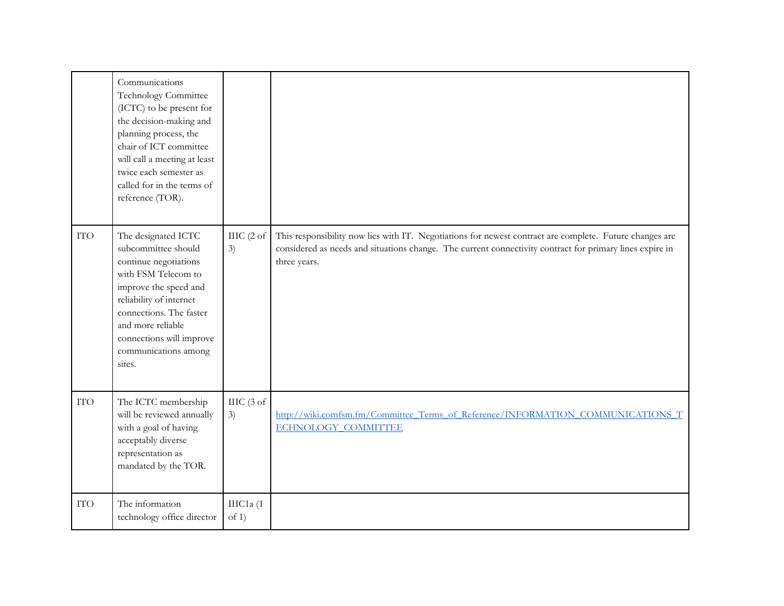|            | Communications<br>Technology Committee<br>(ICTC) to be present for<br>the decision-making and<br>planning process, the<br>chair of ICT committee<br>will call a meeting at least<br>twice each semester as<br>called for in the terms of<br>reference (TOR). |                             |                                                                                                                                                                                                                                     |
|------------|--------------------------------------------------------------------------------------------------------------------------------------------------------------------------------------------------------------------------------------------------------------|-----------------------------|-------------------------------------------------------------------------------------------------------------------------------------------------------------------------------------------------------------------------------------|
| <b>ITO</b> | The designated ICTC<br>subcommittee should<br>continue negotiations<br>with FSM Telecom to<br>improve the speed and<br>reliability of internet<br>connections. The faster<br>and more reliable<br>connections will improve<br>communications among<br>sites. | IIIC $(2 \text{ of }$<br>3) | This responsibility now lies with IT. Negotiations for newest contract are complete. Future changes are<br>considered as needs and situations change. The current connectivity contract for primary lines expire in<br>three years. |
| <b>ITO</b> | The ICTC membership<br>will be reviewed annually<br>with a goal of having<br>acceptably diverse<br>representation as<br>mandated by the TOR.                                                                                                                 | $\text{IILC}$ (3 of<br>3)   | http://wiki.comfsm.fm/Committee Terms of Reference/INFORMATION COMMUNICATIONS T<br><b>ECHNOLOGY COMMITTEE</b>                                                                                                                       |
| <b>ITO</b> | The information<br>technology office director                                                                                                                                                                                                                | IIIC1a (1<br>of $1$ )       |                                                                                                                                                                                                                                     |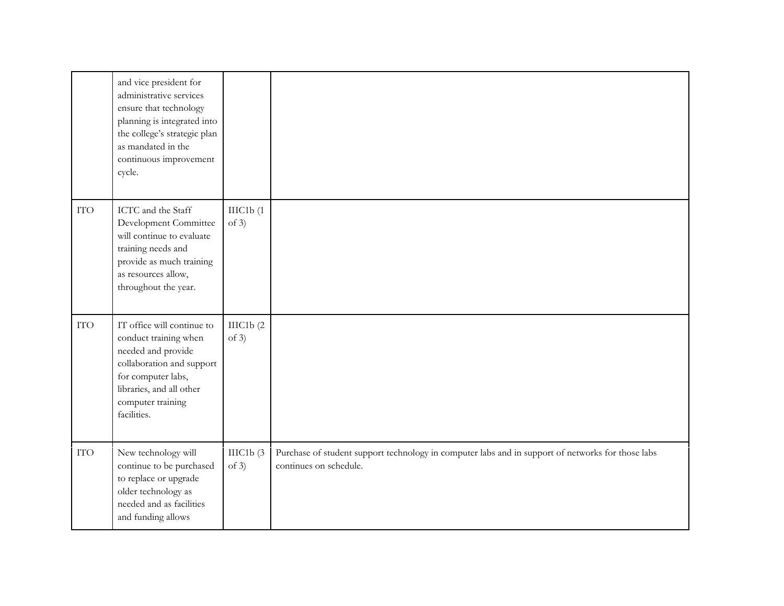|            | and vice president for<br>administrative services<br>ensure that technology<br>planning is integrated into<br>the college's strategic plan<br>as mandated in the<br>continuous improvement<br>cycle. |                      |                                                                                                                             |
|------------|------------------------------------------------------------------------------------------------------------------------------------------------------------------------------------------------------|----------------------|-----------------------------------------------------------------------------------------------------------------------------|
| <b>ITO</b> | ICTC and the Staff<br>Development Committee<br>will continue to evaluate<br>training needs and<br>provide as much training<br>as resources allow,<br>throughout the year.                            | IIIC1b(1)<br>of $3)$ |                                                                                                                             |
| <b>ITO</b> | IT office will continue to<br>conduct training when<br>needed and provide<br>collaboration and support<br>for computer labs,<br>libraries, and all other<br>computer training<br>facilities.         | IIIC1b(2)<br>of $3)$ |                                                                                                                             |
| <b>ITO</b> | New technology will<br>continue to be purchased<br>to replace or upgrade<br>older technology as<br>needed and as facilities<br>and funding allows                                                    | IIIC1b(3)<br>of $3)$ | Purchase of student support technology in computer labs and in support of networks for those labs<br>continues on schedule. |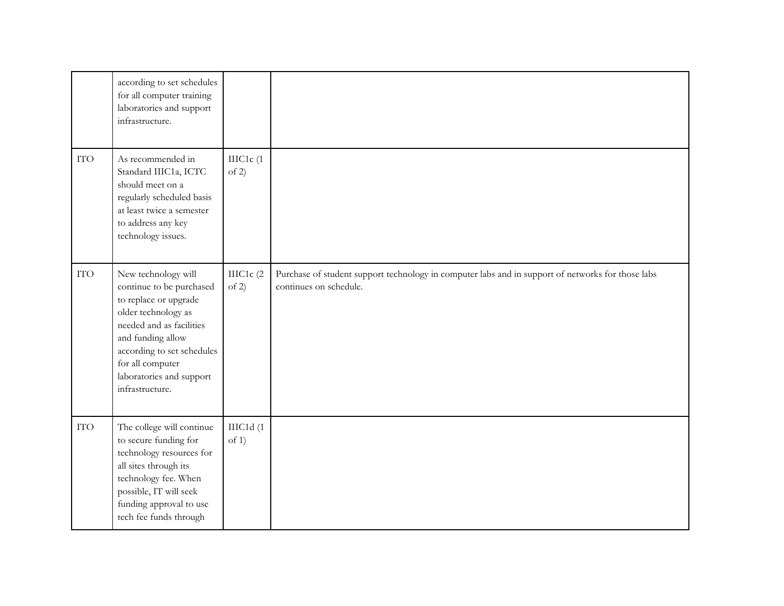|            | according to set schedules<br>for all computer training<br>laboratories and support<br>infrastructure.                                                                                                                                            |                    |                                                                                                                             |
|------------|---------------------------------------------------------------------------------------------------------------------------------------------------------------------------------------------------------------------------------------------------|--------------------|-----------------------------------------------------------------------------------------------------------------------------|
| <b>ITO</b> | As recommended in<br>Standard IIIC1a, ICTC<br>should meet on a<br>regularly scheduled basis<br>at least twice a semester<br>to address any key<br>technology issues.                                                                              | IIIC1c(1<br>of 2)  |                                                                                                                             |
| <b>ITO</b> | New technology will<br>continue to be purchased<br>to replace or upgrade<br>older technology as<br>needed and as facilities<br>and funding allow<br>according to set schedules<br>for all computer<br>laboratories and support<br>infrastructure. | IIIC1c (2<br>of 2) | Purchase of student support technology in computer labs and in support of networks for those labs<br>continues on schedule. |
| <b>ITO</b> | The college will continue<br>to secure funding for<br>technology resources for<br>all sites through its<br>technology fee. When<br>possible, IT will seek<br>funding approval to use<br>tech fee funds through                                    | IIIC1d(1<br>of 1)  |                                                                                                                             |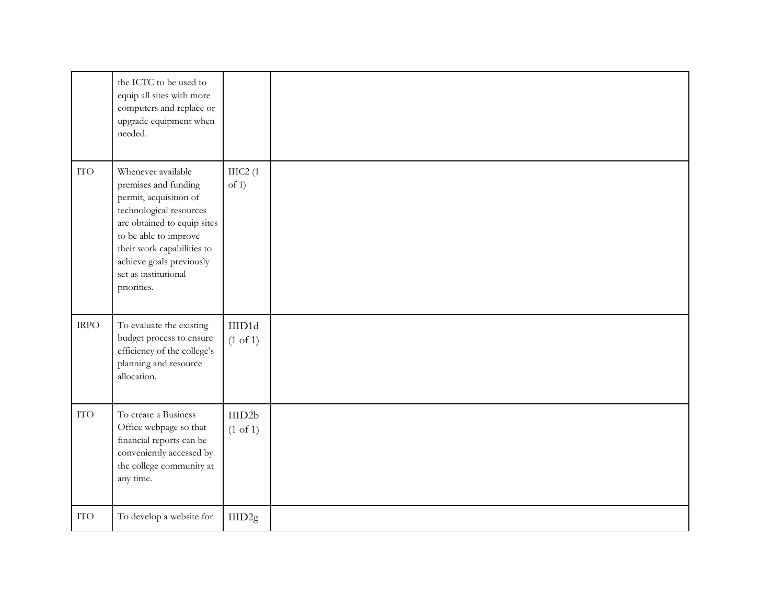|             | the ICTC to be used to<br>equip all sites with more<br>computers and replace or<br>upgrade equipment when<br>needed.                                                                                                                                     |                               |  |
|-------------|----------------------------------------------------------------------------------------------------------------------------------------------------------------------------------------------------------------------------------------------------------|-------------------------------|--|
| <b>ITO</b>  | Whenever available<br>premises and funding<br>permit, acquisition of<br>technological resources<br>are obtained to equip sites<br>to be able to improve<br>their work capabilities to<br>achieve goals previously<br>set as institutional<br>priorities. | IIIC2(1)<br>of 1)             |  |
| <b>IRPO</b> | To evaluate the existing<br>budget process to ensure<br>efficiency of the college's<br>planning and resource<br>allocation.                                                                                                                              | IIID1d<br>$(1 \text{ of } 1)$ |  |
| <b>ITO</b>  | To create a Business<br>Office webpage so that<br>financial reports can be<br>conveniently accessed by<br>the college community at<br>any time.                                                                                                          | IIID2b<br>$(1 \text{ of } 1)$ |  |
| <b>ITO</b>  | To develop a website for                                                                                                                                                                                                                                 | IIID2g                        |  |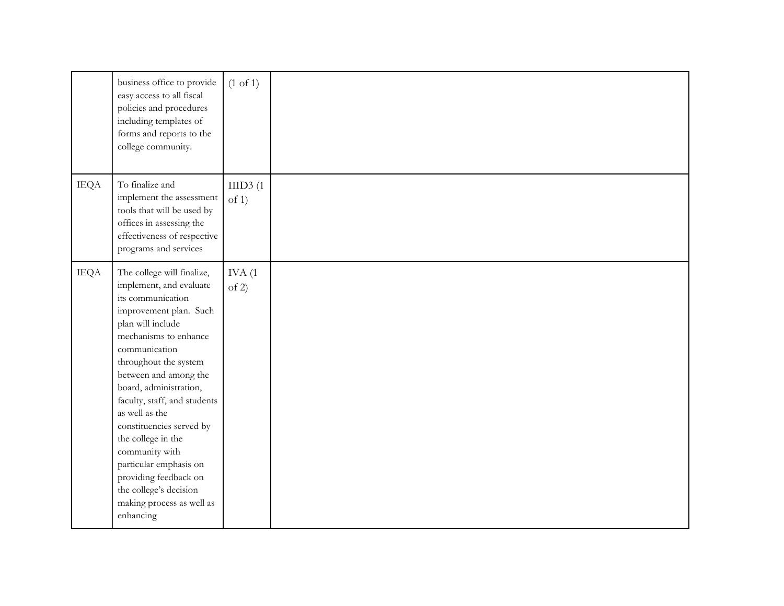|             | business office to provide<br>easy access to all fiscal<br>policies and procedures<br>including templates of<br>forms and reports to the<br>college community.                                                                                                                                                                                                                                                                                                                               | $(1 \text{ of } 1)$ |
|-------------|----------------------------------------------------------------------------------------------------------------------------------------------------------------------------------------------------------------------------------------------------------------------------------------------------------------------------------------------------------------------------------------------------------------------------------------------------------------------------------------------|---------------------|
| <b>IEQA</b> | To finalize and<br>implement the assessment<br>tools that will be used by<br>offices in assessing the<br>effectiveness of respective<br>programs and services                                                                                                                                                                                                                                                                                                                                | IIID3(1)<br>of 1)   |
| <b>IEQA</b> | The college will finalize,<br>implement, and evaluate<br>its communication<br>improvement plan. Such<br>plan will include<br>mechanisms to enhance<br>communication<br>throughout the system<br>between and among the<br>board, administration,<br>faculty, staff, and students<br>as well as the<br>constituencies served by<br>the college in the<br>community with<br>particular emphasis on<br>providing feedback on<br>the college's decision<br>making process as well as<br>enhancing | IVA(1)<br>of 2)     |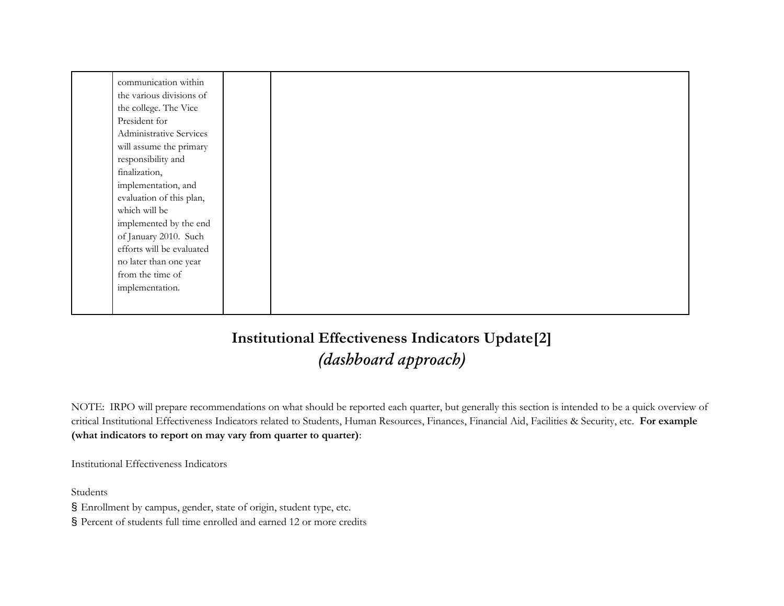| communication within      |  |  |  |  |
|---------------------------|--|--|--|--|
| the various divisions of  |  |  |  |  |
| the college. The Vice     |  |  |  |  |
| President for             |  |  |  |  |
| Administrative Services   |  |  |  |  |
| will assume the primary   |  |  |  |  |
| responsibility and        |  |  |  |  |
| finalization,             |  |  |  |  |
| implementation, and       |  |  |  |  |
| evaluation of this plan,  |  |  |  |  |
| which will be             |  |  |  |  |
| implemented by the end    |  |  |  |  |
| of January 2010. Such     |  |  |  |  |
| efforts will be evaluated |  |  |  |  |
| no later than one year    |  |  |  |  |
| from the time of          |  |  |  |  |
| implementation.           |  |  |  |  |
|                           |  |  |  |  |
|                           |  |  |  |  |

## **Institutional Effectiveness Indicators Update[2]** *(dashboard approach)*

NOTE: IRPO will prepare recommendations on what should be reported each quarter, but generally this section is intended to be a quick overview of critical Institutional Effectiveness Indicators related to Students, Human Resources, Finances, Financial Aid, Facilities & Security, etc. **For example (what indicators to report on may vary from quarter to quarter)**:

Institutional Effectiveness Indicators

Students

§ Enrollment by campus, gender, state of origin, student type, etc.

§ Percent of students full time enrolled and earned 12 or more credits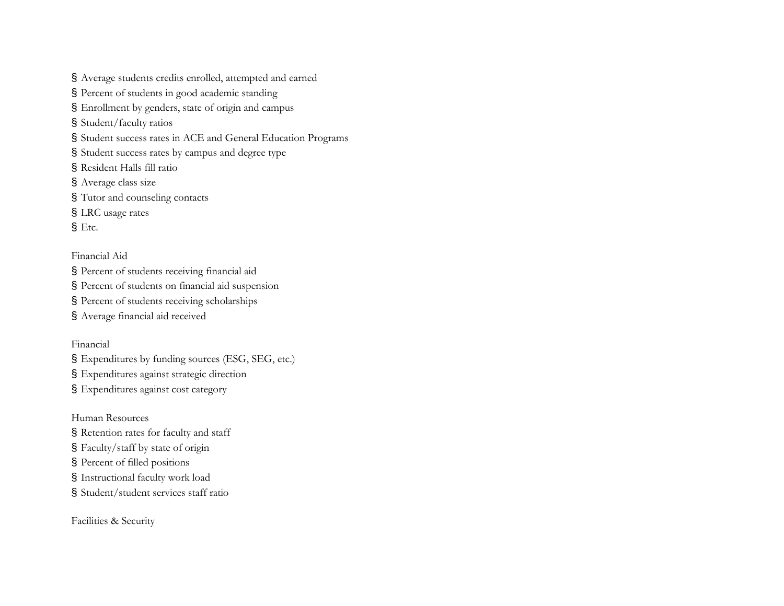§ Average students credits enrolled, attempted and earned § Percent of students in good academic standing § Enrollment by genders, state of origin and campus § Student/faculty ratios § Student success rates in ACE and General Education Programs § Student success rates by campus and degree type § Resident Halls fill ratio § Average class size § Tutor and counseling contacts § LRC usage rates § Etc.

Financial Aid

§ Percent of students receiving financial aid § Percent of students on financial aid suspension

§ Percent of students receiving scholarships

§ Average financial aid received

Financial

§ Expenditures by funding sources (ESG, SEG, etc.) § Expenditures against strategic direction

§ Expenditures against cost category

Human Resources

§ Retention rates for faculty and staff

§ Faculty/staff by state of origin

§ Percent of filled positions

§ Instructional faculty work load

§ Student/student services staff ratio

Facilities & Security